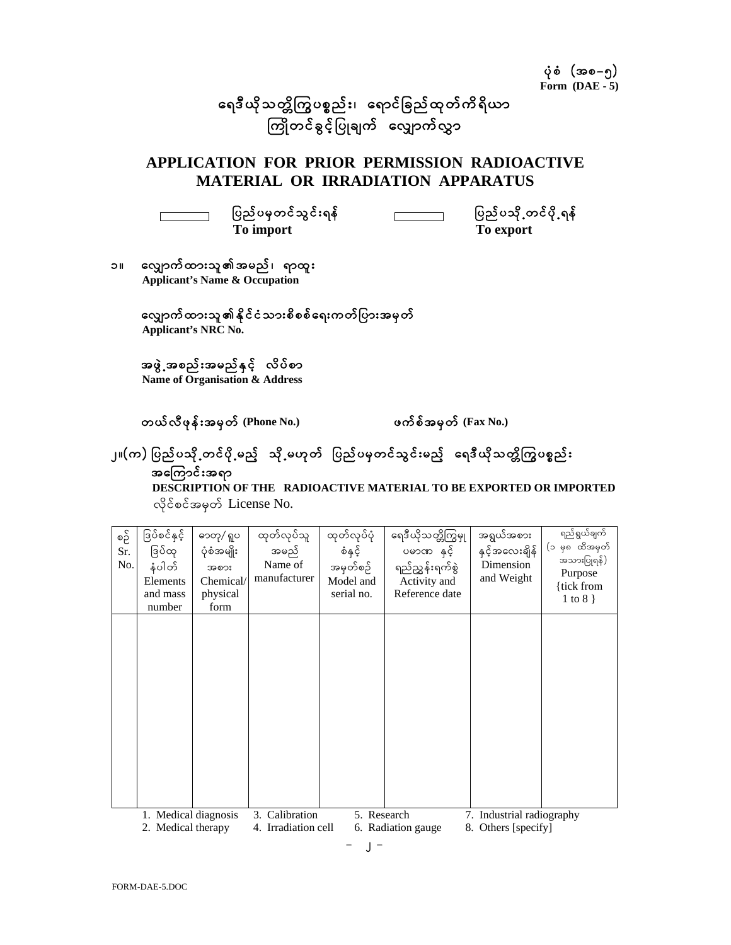ရေဒီယိုသတ္တိကြွပစ္စည်း၊ ရောင်ိခြည်ထုတ်ကိရိယာ ကြိုတင်ခွင့်ပြုချက် လျှောက်လွှာ

## APPLICATION FOR PRIOR PERMISSION RADIOACTIVE MATERIAL OR IRRADIATION APPARATUS

 $\Gamma$ 

Г

ပြည်ပမှတင်သွင်းရန် **To import** 

ပြည်ပသို့တင်ပို့ရန်  $\overline{\phantom{a}}$ To export

၁။ လျှောက်ထားသူ၏အမည်၊ ရာထူး Applicant's Name & Occupation

## လျှောက်ထားသူ၏နိုင်ငံသားစိစစ်ရေးကတ်ပြားအမှတ် Applicant's NRC No.

အဖွဲ့ အစည်းအမည်နှင့် လိပ်စာ Name of Organisation & Address

တယ်လီဖုန်းအမှတ် (Phone No.)

ဖက်စ်အမှတ် (Fax No.)

## ၂။(က) ပြည်ပသို့တင်ပို့မည့် သို့မဟုတ် ပြည်ပမှတင်သွင်းမည့် ရေဒီယိုသတ္တိကြွပစ္စည်း အကြောင်းအရာ

DESCRIPTION OF THE RADIOACTIVE MATERIAL TO BE EXPORTED OR IMPORTED လိုင်စင်အမှတ် License No.

| စဥိ<br>Sr.<br>No. | ဒြပ်စင်နှင့်<br>ဒြပ်ထု<br>နံပါတ်<br>Elements<br>and mass<br>number | ဓာတု/ ရူပ<br>ပုံစံအမျိုး<br>အစား<br>Chemical/<br>physical<br>form | ထုတ်လုပ်သူ<br>အမည်<br>Name of<br>manufacturer           | ထုတ်လုပ်ပုံ<br>စံနှင့်<br>အမှတ်စဉ်<br>Model and<br>serial no. | ရေဒီယိုသတ္တိကြွမှု<br>ဒိန ဏဇမပ<br>ရည်ညွှန်းရက်စွဲ<br>Activity and<br>Reference date | အရွယ်အစား<br>နှင့်အလေးချိန်<br>Dimension<br>and Weight | ရည်ရွယ်ချက်<br>မှ၈ ထိအမှတ်<br>(၁<br>အသားပြုရန်)<br>Purpose<br>{tick from<br>1 to 8 $\}$ |
|-------------------|--------------------------------------------------------------------|-------------------------------------------------------------------|---------------------------------------------------------|---------------------------------------------------------------|-------------------------------------------------------------------------------------|--------------------------------------------------------|-----------------------------------------------------------------------------------------|
|                   |                                                                    |                                                                   |                                                         |                                                               |                                                                                     |                                                        |                                                                                         |
|                   | Medical diagnosis<br>2. Medical therapy                            |                                                                   | Calibration<br>5. Research<br>3.<br>4. Irradiation cell |                                                               | Industrial radiography<br>7.<br>6. Radiation gauge<br>8. Others [specify]           |                                                        |                                                                                         |